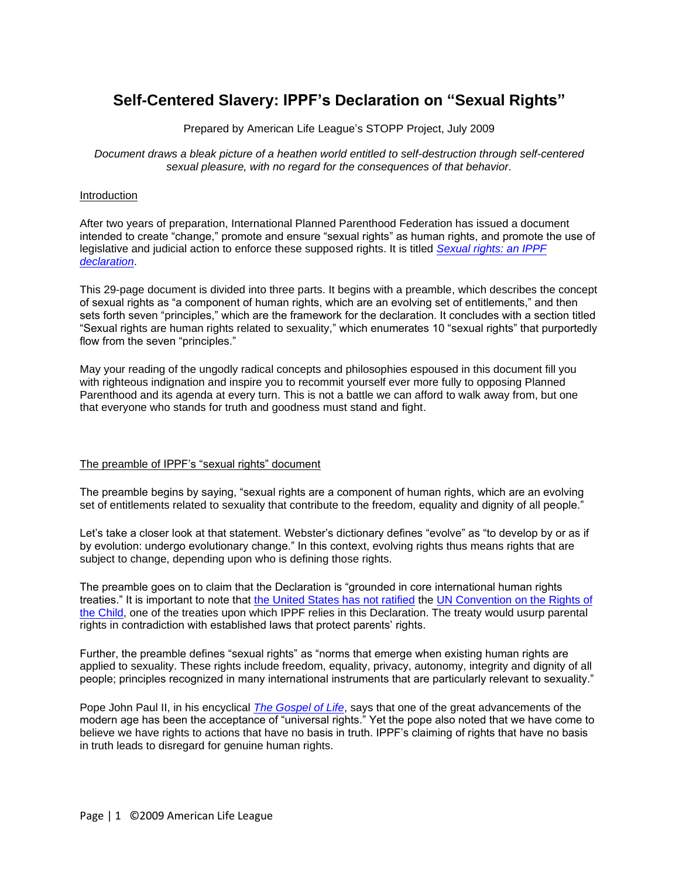# **Self-Centered Slavery: IPPF's Declaration on "Sexual Rights"**

Prepared by American Life League's STOPP Project, July 2009

*Document draws a bleak picture of a heathen world entitled to self-destruction through self-centered sexual pleasure, with no regard for the consequences of that behavior.*

# Introduction

After two years of preparation, International Planned Parenthood Federation has issued a document intended to create "change," promote and ensure "sexual rights" as human rights, and promote the use of legislative and judicial action to enforce these supposed rights. It is titled *[Sexual rights: an IPPF](http://www.ippf.org/NR/rdonlyres/9E4D697C-1C7D-4EF6-AA2A-6D4D0A13A108/0/SexualRightsIPPFdeclaration.pdf)  [declaration](http://www.ippf.org/NR/rdonlyres/9E4D697C-1C7D-4EF6-AA2A-6D4D0A13A108/0/SexualRightsIPPFdeclaration.pdf)*.

This 29-page document is divided into three parts. It begins with a preamble, which describes the concept of sexual rights as "a component of human rights, which are an evolving set of entitlements," and then sets forth seven "principles," which are the framework for the declaration. It concludes with a section titled "Sexual rights are human rights related to sexuality," which enumerates 10 "sexual rights" that purportedly flow from the seven "principles."

May your reading of the ungodly radical concepts and philosophies espoused in this document fill you with righteous indignation and inspire you to recommit yourself ever more fully to opposing Planned Parenthood and its agenda at every turn. This is not a battle we can afford to walk away from, but one that everyone who stands for truth and goodness must stand and fight.

## The preamble of IPPF's "sexual rights" document

The preamble begins by saying, "sexual rights are a component of human rights, which are an evolving set of entitlements related to sexuality that contribute to the freedom, equality and dignity of all people."

Let's take a closer look at that statement. Webster's dictionary defines "evolve" as "to develop by or as if by evolution: undergo evolutionary change." In this context, evolving rights thus means rights that are subject to change, depending upon who is defining those rights.

The preamble goes on to claim that the Declaration is "grounded in core international human rights treaties.‖ It is important to note that [the United States has not ratified](http://www.foxnews.com/politics/2009/02/25/boxer-seeks-ratify-treaty-erode-rights/) the [UN Convention on the Rights of](http://www.unhchr.ch/html/menu3/b/k2crc.htm)  [the Child,](http://www.unhchr.ch/html/menu3/b/k2crc.htm) one of the treaties upon which IPPF relies in this Declaration. The treaty would usurp parental rights in contradiction with established laws that protect parents' rights.

Further, the preamble defines "sexual rights" as "norms that emerge when existing human rights are applied to sexuality. These rights include freedom, equality, privacy, autonomy, integrity and dignity of all people; principles recognized in many international instruments that are particularly relevant to sexuality."

Pope John Paul II, in his encyclical *[The Gospel of Life](http://www.vatican.va/holy_father/john_paul_ii/encyclicals/documents/hf_jp-ii_enc_25031995_evangelium-vitae_en.html)*, says that one of the great advancements of the modern age has been the acceptance of "universal rights." Yet the pope also noted that we have come to believe we have rights to actions that have no basis in truth. IPPF's claiming of rights that have no basis in truth leads to disregard for genuine human rights.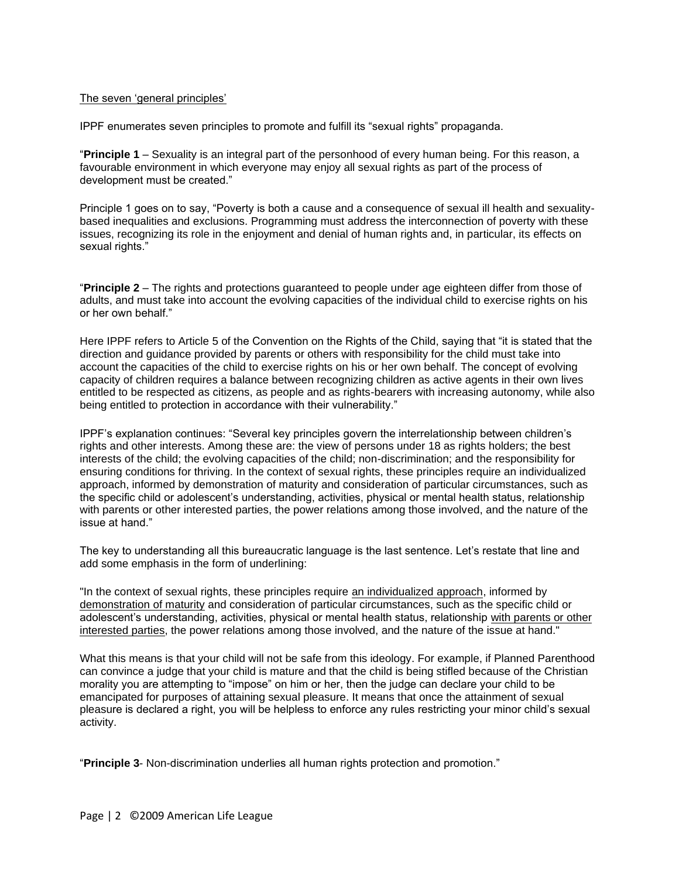## The seven 'general principles'

IPPF enumerates seven principles to promote and fulfill its "sexual rights" propaganda.

―**Principle 1** – Sexuality is an integral part of the personhood of every human being. For this reason, a favourable environment in which everyone may enjoy all sexual rights as part of the process of development must be created."

Principle 1 goes on to say, "Poverty is both a cause and a consequence of sexual ill health and sexualitybased inequalities and exclusions. Programming must address the interconnection of poverty with these issues, recognizing its role in the enjoyment and denial of human rights and, in particular, its effects on sexual rights."

―**Principle 2** – The rights and protections guaranteed to people under age eighteen differ from those of adults, and must take into account the evolving capacities of the individual child to exercise rights on his or her own behalf."

Here IPPF refers to Article 5 of the Convention on the Rights of the Child, saying that "it is stated that the direction and guidance provided by parents or others with responsibility for the child must take into account the capacities of the child to exercise rights on his or her own behalf. The concept of evolving capacity of children requires a balance between recognizing children as active agents in their own lives entitled to be respected as citizens, as people and as rights-bearers with increasing autonomy, while also being entitled to protection in accordance with their vulnerability."

IPPF's explanation continues: "Several key principles govern the interrelationship between children's rights and other interests. Among these are: the view of persons under 18 as rights holders; the best interests of the child; the evolving capacities of the child; non-discrimination; and the responsibility for ensuring conditions for thriving. In the context of sexual rights, these principles require an individualized approach, informed by demonstration of maturity and consideration of particular circumstances, such as the specific child or adolescent's understanding, activities, physical or mental health status, relationship with parents or other interested parties, the power relations among those involved, and the nature of the issue at hand."

The key to understanding all this bureaucratic language is the last sentence. Let's restate that line and add some emphasis in the form of underlining:

"In the context of sexual rights, these principles require an individualized approach, informed by demonstration of maturity and consideration of particular circumstances, such as the specific child or adolescent's understanding, activities, physical or mental health status, relationship with parents or other interested parties, the power relations among those involved, and the nature of the issue at hand."

What this means is that your child will not be safe from this ideology. For example, if Planned Parenthood can convince a judge that your child is mature and that the child is being stifled because of the Christian morality you are attempting to "impose" on him or her, then the judge can declare your child to be emancipated for purposes of attaining sexual pleasure. It means that once the attainment of sexual pleasure is declared a right, you will be helpless to enforce any rules restricting your minor child's sexual activity.

"Principle 3- Non-discrimination underlies all human rights protection and promotion."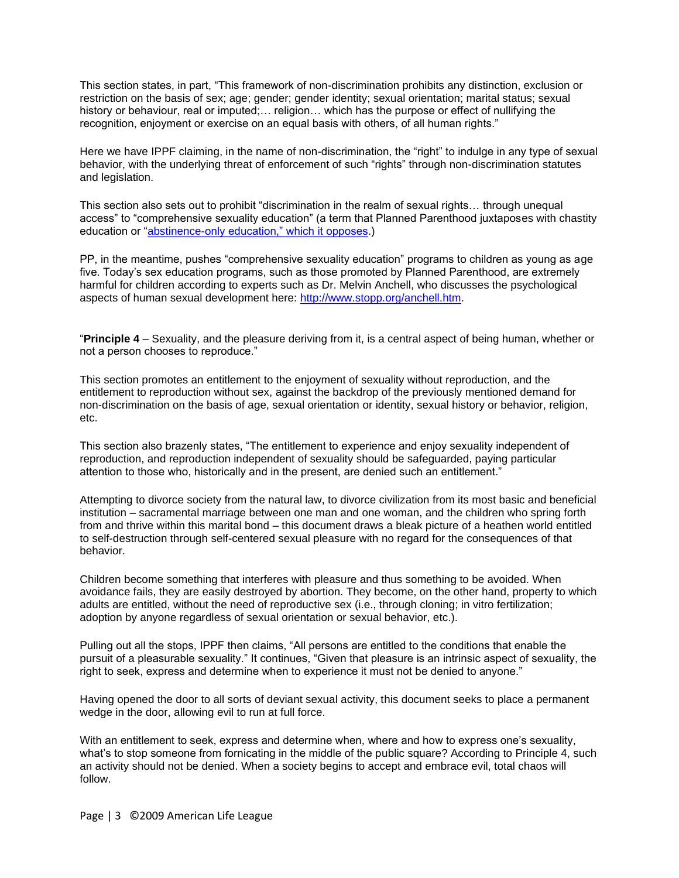This section states, in part, "This framework of non-discrimination prohibits any distinction, exclusion or restriction on the basis of sex; age; gender; gender identity; sexual orientation; marital status; sexual history or behaviour, real or imputed;... religion... which has the purpose or effect of nullifying the recognition, enjoyment or exercise on an equal basis with others, of all human rights."

Here we have IPPF claiming, in the name of non-discrimination, the "right" to indulge in any type of sexual behavior, with the underlying threat of enforcement of such "rights" through non-discrimination statutes and legislation.

This section also sets out to prohibit "discrimination in the realm of sexual rights... through unequal access" to "comprehensive sexuality education" (a term that Planned Parenthood juxtaposes with chastity education or "abstinence-only education," which it opposes.)

PP, in the meantime, pushes "comprehensive sexuality education" programs to children as young as age five. Today's sex education programs, such as those promoted by Planned Parenthood, are extremely harmful for children according to experts such as Dr. Melvin Anchell, who discusses the psychological aspects of human sexual development here: [http://www.stopp.org/anchell.htm.](http://www.stopp.org/anchell.htm)

―**Principle 4** – Sexuality, and the pleasure deriving from it, is a central aspect of being human, whether or not a person chooses to reproduce."

This section promotes an entitlement to the enjoyment of sexuality without reproduction, and the entitlement to reproduction without sex, against the backdrop of the previously mentioned demand for non-discrimination on the basis of age, sexual orientation or identity, sexual history or behavior, religion, etc.

This section also brazenly states, "The entitlement to experience and enjoy sexuality independent of reproduction, and reproduction independent of sexuality should be safeguarded, paying particular attention to those who, historically and in the present, are denied such an entitlement."

Attempting to divorce society from the natural law, to divorce civilization from its most basic and beneficial institution – sacramental marriage between one man and one woman, and the children who spring forth from and thrive within this marital bond – this document draws a bleak picture of a heathen world entitled to self-destruction through self-centered sexual pleasure with no regard for the consequences of that behavior.

Children become something that interferes with pleasure and thus something to be avoided. When avoidance fails, they are easily destroyed by abortion. They become, on the other hand, property to which adults are entitled, without the need of reproductive sex (i.e., through cloning; in vitro fertilization; adoption by anyone regardless of sexual orientation or sexual behavior, etc.).

Pulling out all the stops, IPPF then claims, "All persons are entitled to the conditions that enable the pursuit of a pleasurable sexuality." It continues, "Given that pleasure is an intrinsic aspect of sexuality, the right to seek, express and determine when to experience it must not be denied to anyone."

Having opened the door to all sorts of deviant sexual activity, this document seeks to place a permanent wedge in the door, allowing evil to run at full force.

With an entitlement to seek, express and determine when, where and how to express one's sexuality, what's to stop someone from fornicating in the middle of the public square? According to Principle 4, such an activity should not be denied. When a society begins to accept and embrace evil, total chaos will follow.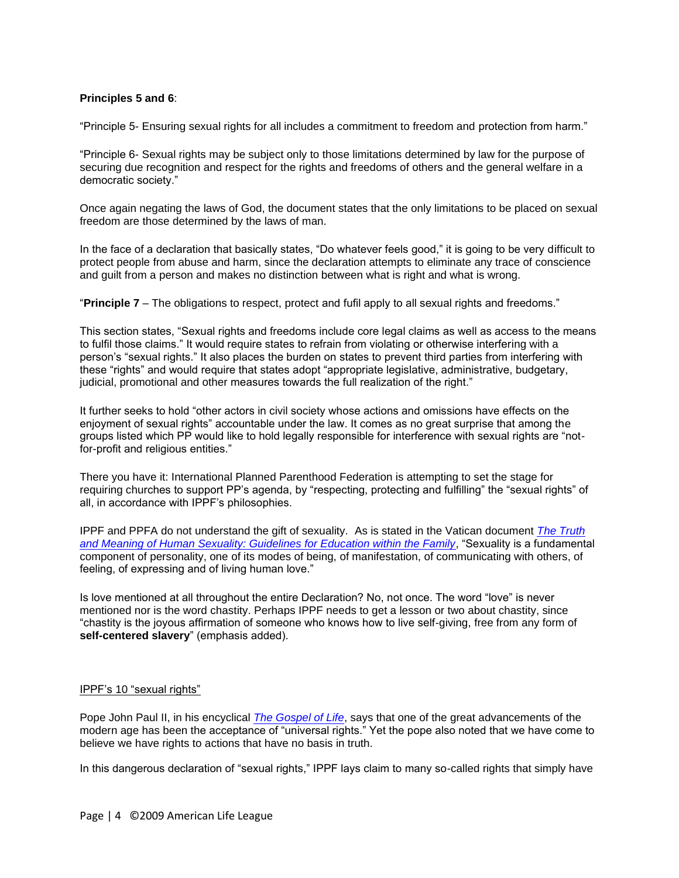# **Principles 5 and 6**:

"Principle 5- Ensuring sexual rights for all includes a commitment to freedom and protection from harm."

―Principle 6- Sexual rights may be subject only to those limitations determined by law for the purpose of securing due recognition and respect for the rights and freedoms of others and the general welfare in a democratic society."

Once again negating the laws of God, the document states that the only limitations to be placed on sexual freedom are those determined by the laws of man.

In the face of a declaration that basically states, "Do whatever feels good," it is going to be very difficult to protect people from abuse and harm, since the declaration attempts to eliminate any trace of conscience and guilt from a person and makes no distinction between what is right and what is wrong.

"**Principle 7** – The obligations to respect, protect and fufil apply to all sexual rights and freedoms."

This section states, "Sexual rights and freedoms include core legal claims as well as access to the means to fulfil those claims." It would require states to refrain from violating or otherwise interfering with a person's "sexual rights." It also places the burden on states to prevent third parties from interfering with these "rights" and would require that states adopt "appropriate legislative, administrative, budgetary, judicial, promotional and other measures towards the full realization of the right."

It further seeks to hold "other actors in civil society whose actions and omissions have effects on the enjoyment of sexual rights" accountable under the law. It comes as no great surprise that among the groups listed which PP would like to hold legally responsible for interference with sexual rights are "notfor-profit and religious entities."

There you have it: International Planned Parenthood Federation is attempting to set the stage for requiring churches to support PP's agenda, by "respecting, protecting and fulfilling" the "sexual rights" of all, in accordance with IPPF's philosophies.

IPPF and PPFA do not understand the gift of sexuality. As is stated in the Vatican document *[The Truth](http://www.vatican.va/roman_curia/pontifical_councils/family/documents/rc_pc_family_doc_08121995_human-sexuality_en.html)*  [and Meaning of Human Sexuality: Guidelines for Education within the Family](http://www.vatican.va/roman_curia/pontifical_councils/family/documents/rc_pc_family_doc_08121995_human-sexuality_en.html), "Sexuality is a fundamental component of personality, one of its modes of being, of manifestation, of communicating with others, of feeling, of expressing and of living human love."

Is love mentioned at all throughout the entire Declaration? No, not once. The word "love" is never mentioned nor is the word chastity. Perhaps IPPF needs to get a lesson or two about chastity, since ―chastity is the joyous affirmation of someone who knows how to live self-giving, free from any form of self-centered slavery" (emphasis added).

## IPPF's 10 "sexual rights"

Pope John Paul II, in his encyclical *[The Gospel of Life](http://www.vatican.va/holy_father/john_paul_ii/encyclicals/documents/hf_jp-ii_enc_25031995_evangelium-vitae_en.html)*, says that one of the great advancements of the modern age has been the acceptance of "universal rights." Yet the pope also noted that we have come to believe we have rights to actions that have no basis in truth.

In this dangerous declaration of "sexual rights," IPPF lays claim to many so-called rights that simply have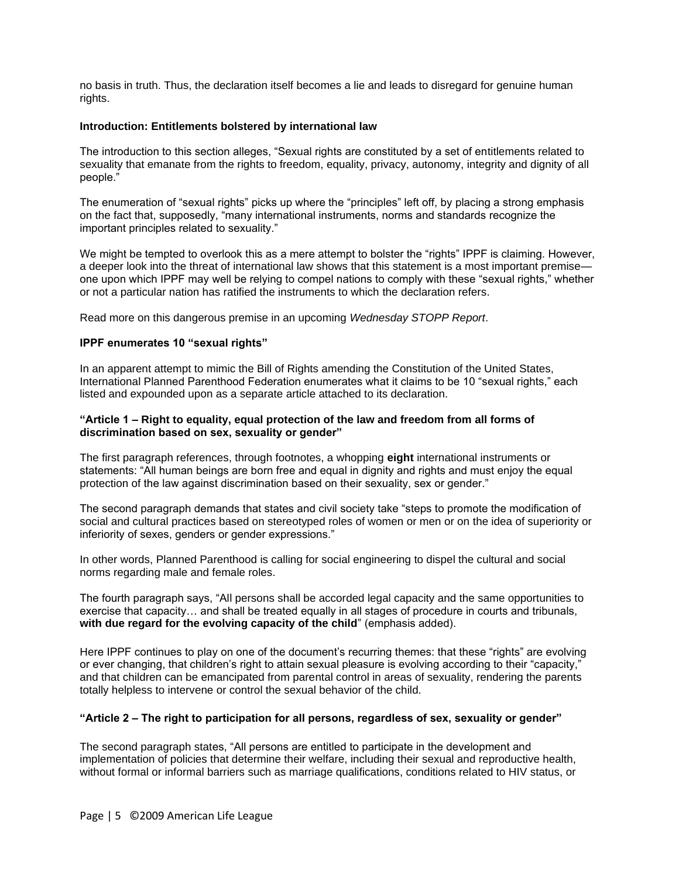no basis in truth. Thus, the declaration itself becomes a lie and leads to disregard for genuine human rights.

## **Introduction: Entitlements bolstered by international law**

The introduction to this section alleges, "Sexual rights are constituted by a set of entitlements related to sexuality that emanate from the rights to freedom, equality, privacy, autonomy, integrity and dignity of all people."

The enumeration of "sexual rights" picks up where the "principles" left off, by placing a strong emphasis on the fact that, supposedly, "many international instruments, norms and standards recognize the important principles related to sexuality."

We might be tempted to overlook this as a mere attempt to bolster the "rights" IPPF is claiming. However, a deeper look into the threat of international law shows that this statement is a most important premise one upon which IPPF may well be relying to compel nations to comply with these "sexual rights," whether or not a particular nation has ratified the instruments to which the declaration refers.

Read more on this dangerous premise in an upcoming *Wednesday STOPP Report*.

## **IPPF enumerates 10 "sexual rights"**

In an apparent attempt to mimic the Bill of Rights amending the Constitution of the United States, International Planned Parenthood Federation enumerates what it claims to be 10 "sexual rights," each listed and expounded upon as a separate article attached to its declaration.

## **"Article 1 – Right to equality, equal protection of the law and freedom from all forms of discrimination based on sex, sexuality or gender"**

The first paragraph references, through footnotes, a whopping **eight** international instruments or statements: "All human beings are born free and equal in dignity and rights and must enjoy the equal protection of the law against discrimination based on their sexuality, sex or gender."

The second paragraph demands that states and civil society take "steps to promote the modification of social and cultural practices based on stereotyped roles of women or men or on the idea of superiority or inferiority of sexes, genders or gender expressions."

In other words, Planned Parenthood is calling for social engineering to dispel the cultural and social norms regarding male and female roles.

The fourth paragraph says, "All persons shall be accorded legal capacity and the same opportunities to exercise that capacity… and shall be treated equally in all stages of procedure in courts and tribunals, with due regard for the evolving capacity of the child" (emphasis added).

Here IPPF continues to play on one of the document's recurring themes: that these "rights" are evolving or ever changing, that children's right to attain sexual pleasure is evolving according to their "capacity," and that children can be emancipated from parental control in areas of sexuality, rendering the parents totally helpless to intervene or control the sexual behavior of the child.

## **"Article 2 – The right to participation for all persons, regardless of sex, sexuality or gender"**

The second paragraph states, "All persons are entitled to participate in the development and implementation of policies that determine their welfare, including their sexual and reproductive health, without formal or informal barriers such as marriage qualifications, conditions related to HIV status, or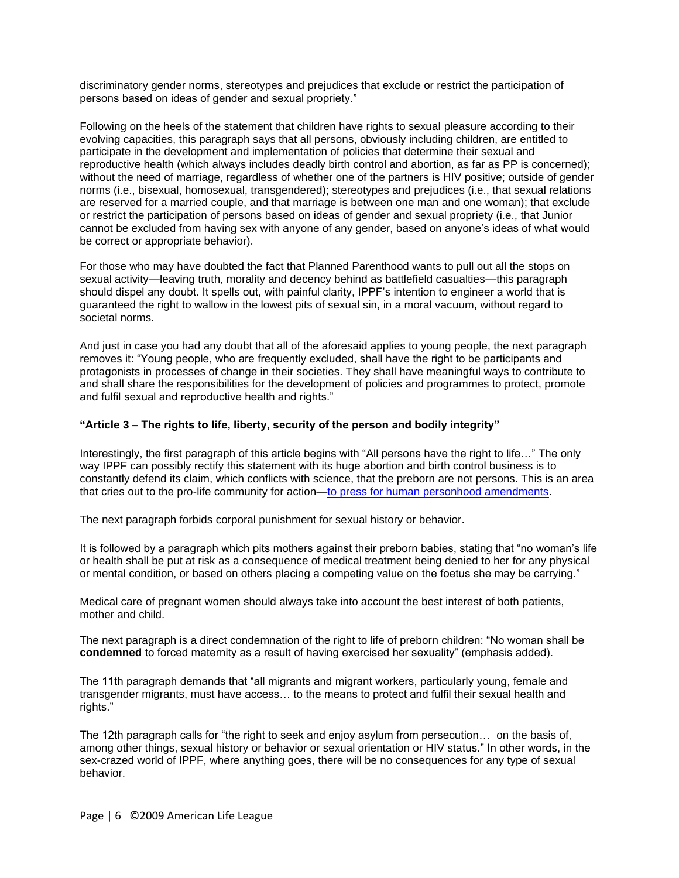discriminatory gender norms, stereotypes and prejudices that exclude or restrict the participation of persons based on ideas of gender and sexual propriety."

Following on the heels of the statement that children have rights to sexual pleasure according to their evolving capacities, this paragraph says that all persons, obviously including children, are entitled to participate in the development and implementation of policies that determine their sexual and reproductive health (which always includes deadly birth control and abortion, as far as PP is concerned); without the need of marriage, regardless of whether one of the partners is HIV positive; outside of gender norms (i.e., bisexual, homosexual, transgendered); stereotypes and prejudices (i.e., that sexual relations are reserved for a married couple, and that marriage is between one man and one woman); that exclude or restrict the participation of persons based on ideas of gender and sexual propriety (i.e., that Junior cannot be excluded from having sex with anyone of any gender, based on anyone's ideas of what would be correct or appropriate behavior).

For those who may have doubted the fact that Planned Parenthood wants to pull out all the stops on sexual activity—leaving truth, morality and decency behind as battlefield casualties—this paragraph should dispel any doubt. It spells out, with painful clarity, IPPF's intention to engineer a world that is guaranteed the right to wallow in the lowest pits of sexual sin, in a moral vacuum, without regard to societal norms.

And just in case you had any doubt that all of the aforesaid applies to young people, the next paragraph removes it: "Young people, who are frequently excluded, shall have the right to be participants and protagonists in processes of change in their societies. They shall have meaningful ways to contribute to and shall share the responsibilities for the development of policies and programmes to protect, promote and fulfil sexual and reproductive health and rights."

## **"Article 3 – The rights to life, liberty, security of the person and bodily integrity"**

Interestingly, the first paragraph of this article begins with "All persons have the right to life…" The only way IPPF can possibly rectify this statement with its huge abortion and birth control business is to constantly defend its claim, which conflicts with science, that the preborn are not persons. This is an area that cries out to the pro-life community for action—to press [for human personhood amendments.](http://www.all.org/personhood/)

The next paragraph forbids corporal punishment for sexual history or behavior.

It is followed by a paragraph which pits mothers against their preborn babies, stating that "no woman's life or health shall be put at risk as a consequence of medical treatment being denied to her for any physical or mental condition, or based on others placing a competing value on the foetus she may be carrying."

Medical care of pregnant women should always take into account the best interest of both patients, mother and child.

The next paragraph is a direct condemnation of the right to life of preborn children: "No woman shall be condemned to forced maternity as a result of having exercised her sexuality" (emphasis added).

The 11th paragraph demands that "all migrants and migrant workers, particularly young, female and transgender migrants, must have access… to the means to protect and fulfil their sexual health and rights."

The 12th paragraph calls for "the right to seek and enjoy asylum from persecution... on the basis of, among other things, sexual history or behavior or sexual orientation or HIV status." In other words, in the sex-crazed world of IPPF, where anything goes, there will be no consequences for any type of sexual behavior.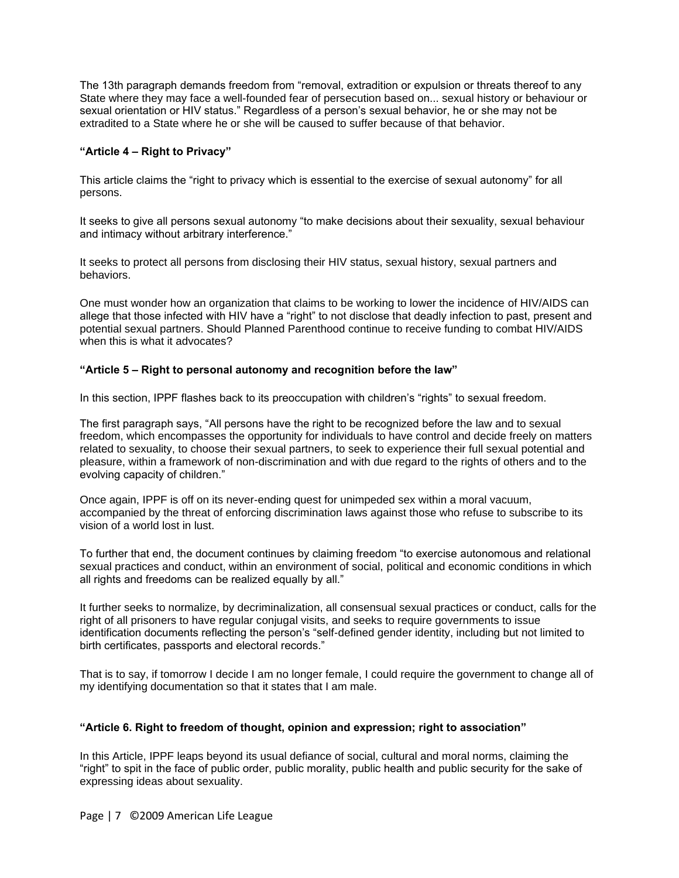The 13th paragraph demands freedom from "removal, extradition or expulsion or threats thereof to any State where they may face a well-founded fear of persecution based on... sexual history or behaviour or sexual orientation or HIV status." Regardless of a person's sexual behavior, he or she may not be extradited to a State where he or she will be caused to suffer because of that behavior.

# **"Article 4 – Right to Privacy"**

This article claims the "right to privacy which is essential to the exercise of sexual autonomy" for all persons.

It seeks to give all persons sexual autonomy "to make decisions about their sexuality, sexual behaviour and intimacy without arbitrary interference."

It seeks to protect all persons from disclosing their HIV status, sexual history, sexual partners and behaviors.

One must wonder how an organization that claims to be working to lower the incidence of HIV/AIDS can allege that those infected with HIV have a "right" to not disclose that deadly infection to past, present and potential sexual partners. Should Planned Parenthood continue to receive funding to combat HIV/AIDS when this is what it advocates?

## **"Article 5 – Right to personal autonomy and recognition before the law"**

In this section, IPPF flashes back to its preoccupation with children's "rights" to sexual freedom.

The first paragraph says, "All persons have the right to be recognized before the law and to sexual freedom, which encompasses the opportunity for individuals to have control and decide freely on matters related to sexuality, to choose their sexual partners, to seek to experience their full sexual potential and pleasure, within a framework of non-discrimination and with due regard to the rights of others and to the evolving capacity of children."

Once again, IPPF is off on its never-ending quest for unimpeded sex within a moral vacuum, accompanied by the threat of enforcing discrimination laws against those who refuse to subscribe to its vision of a world lost in lust.

To further that end, the document continues by claiming freedom "to exercise autonomous and relational sexual practices and conduct, within an environment of social, political and economic conditions in which all rights and freedoms can be realized equally by all."

It further seeks to normalize, by decriminalization, all consensual sexual practices or conduct, calls for the right of all prisoners to have regular conjugal visits, and seeks to require governments to issue identification documents reflecting the person's "self-defined gender identity, including but not limited to birth certificates, passports and electoral records."

That is to say, if tomorrow I decide I am no longer female, I could require the government to change all of my identifying documentation so that it states that I am male.

## **"Article 6. Right to freedom of thought, opinion and expression; right to association"**

In this Article, IPPF leaps beyond its usual defiance of social, cultural and moral norms, claiming the ―right‖ to spit in the face of public order, public morality, public health and public security for the sake of expressing ideas about sexuality.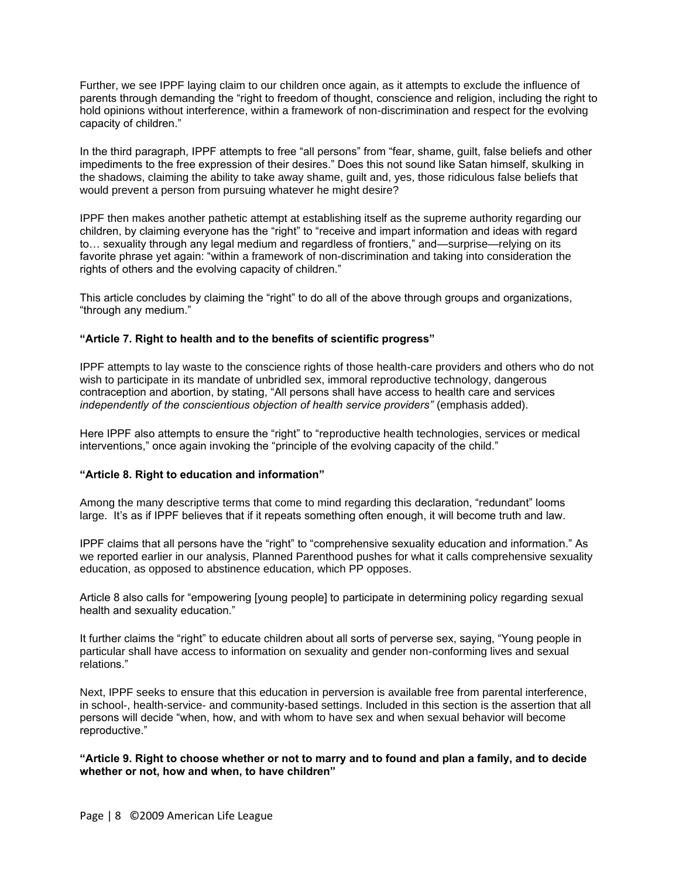Further, we see IPPF laying claim to our children once again, as it attempts to exclude the influence of parents through demanding the "right to freedom of thought, conscience and religion, including the right to hold opinions without interference, within a framework of non-discrimination and respect for the evolving capacity of children."

In the third paragraph, IPPF attempts to free "all persons" from "fear, shame, guilt, false beliefs and other impediments to the free expression of their desires." Does this not sound like Satan himself, skulking in the shadows, claiming the ability to take away shame, guilt and, yes, those ridiculous false beliefs that would prevent a person from pursuing whatever he might desire?

IPPF then makes another pathetic attempt at establishing itself as the supreme authority regarding our children, by claiming everyone has the "right" to "receive and impart information and ideas with regard to... sexuality through any legal medium and regardless of frontiers," and—surprise—relying on its favorite phrase yet again: "within a framework of non-discrimination and taking into consideration the rights of others and the evolving capacity of children."

This article concludes by claiming the "right" to do all of the above through groups and organizations, "through any medium."

## **"Article 7. Right to health and to the benefits of scientific progress"**

IPPF attempts to lay waste to the conscience rights of those health-care providers and others who do not wish to participate in its mandate of unbridled sex, immoral reproductive technology, dangerous contraception and abortion, by stating, "All persons shall have access to health care and services *independently of the conscientious objection of health service providers"* (emphasis added).

Here IPPF also attempts to ensure the "right" to "reproductive health technologies, services or medical interventions," once again invoking the "principle of the evolving capacity of the child."

## **"Article 8. Right to education and information"**

Among the many descriptive terms that come to mind regarding this declaration, "redundant" looms large. It's as if IPPF believes that if it repeats something often enough, it will become truth and law.

IPPF claims that all persons have the "right" to "comprehensive sexuality education and information." As we reported earlier in our analysis, Planned Parenthood pushes for what it calls comprehensive sexuality education, as opposed to abstinence education, which PP opposes.

Article 8 also calls for "empowering [young people] to participate in determining policy regarding sexual health and sexuality education."

It further claims the "right" to educate children about all sorts of perverse sex, saying, "Young people in particular shall have access to information on sexuality and gender non-conforming lives and sexual relations."

Next, IPPF seeks to ensure that this education in perversion is available free from parental interference, in school-, health-service- and community-based settings. Included in this section is the assertion that all persons will decide "when, how, and with whom to have sex and when sexual behavior will become reproductive."

**"Article 9. Right to choose whether or not to marry and to found and plan a family, and to decide whether or not, how and when, to have children"**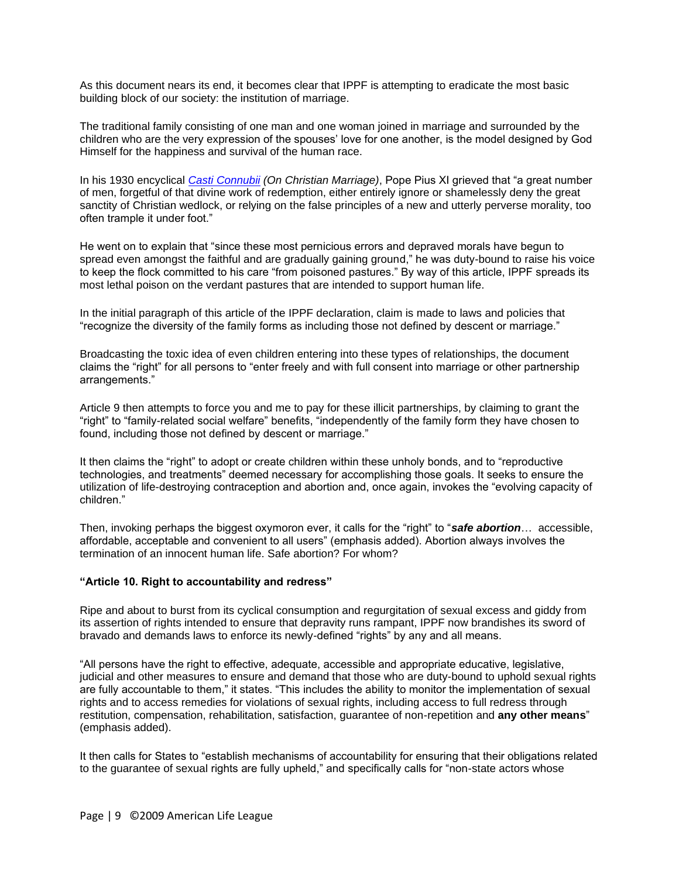As this document nears its end, it becomes clear that IPPF is attempting to eradicate the most basic building block of our society: the institution of marriage.

The traditional family consisting of one man and one woman joined in marriage and surrounded by the children who are the very expression of the spouses' love for one another, is the model designed by God Himself for the happiness and survival of the human race.

In his 1930 encyclical *[Casti Connubii](http://www.vatican.va/holy_father/pius_xi/encyclicals/documents/hf_p-xi_enc_31121930_casti-connubii_en.html) (On Christian Marriage)*, Pope Pius XI grieved that "a great number of men, forgetful of that divine work of redemption, either entirely ignore or shamelessly deny the great sanctity of Christian wedlock, or relying on the false principles of a new and utterly perverse morality, too often trample it under foot."

He went on to explain that "since these most pernicious errors and depraved morals have begun to spread even amongst the faithful and are gradually gaining ground," he was duty-bound to raise his voice to keep the flock committed to his care "from poisoned pastures." By way of this article, IPPF spreads its most lethal poison on the verdant pastures that are intended to support human life.

In the initial paragraph of this article of the IPPF declaration, claim is made to laws and policies that "recognize the diversity of the family forms as including those not defined by descent or marriage."

Broadcasting the toxic idea of even children entering into these types of relationships, the document claims the "right" for all persons to "enter freely and with full consent into marriage or other partnership arrangements.‖

Article 9 then attempts to force you and me to pay for these illicit partnerships, by claiming to grant the "right" to "family-related social welfare" benefits, "independently of the family form they have chosen to found, including those not defined by descent or marriage."

It then claims the "right" to adopt or create children within these unholy bonds, and to "reproductive" technologies, and treatments‖ deemed necessary for accomplishing those goals. It seeks to ensure the utilization of life-destroying contraception and abortion and, once again, invokes the "evolving capacity of children."

Then, invoking perhaps the biggest oxymoron ever, it calls for the "right" to "**safe abortion**... accessible, affordable, acceptable and convenient to all users‖ (emphasis added). Abortion always involves the termination of an innocent human life. Safe abortion? For whom?

## **"Article 10. Right to accountability and redress"**

Ripe and about to burst from its cyclical consumption and regurgitation of sexual excess and giddy from its assertion of rights intended to ensure that depravity runs rampant, IPPF now brandishes its sword of bravado and demands laws to enforce its newly-defined "rights" by any and all means.

―All persons have the right to effective, adequate, accessible and appropriate educative, legislative, judicial and other measures to ensure and demand that those who are duty-bound to uphold sexual rights are fully accountable to them," it states. "This includes the ability to monitor the implementation of sexual rights and to access remedies for violations of sexual rights, including access to full redress through restitution, compensation, rehabilitation, satisfaction, guarantee of non-repetition and **any other means**‖ (emphasis added).

It then calls for States to "establish mechanisms of accountability for ensuring that their obligations related to the guarantee of sexual rights are fully upheld," and specifically calls for "non-state actors whose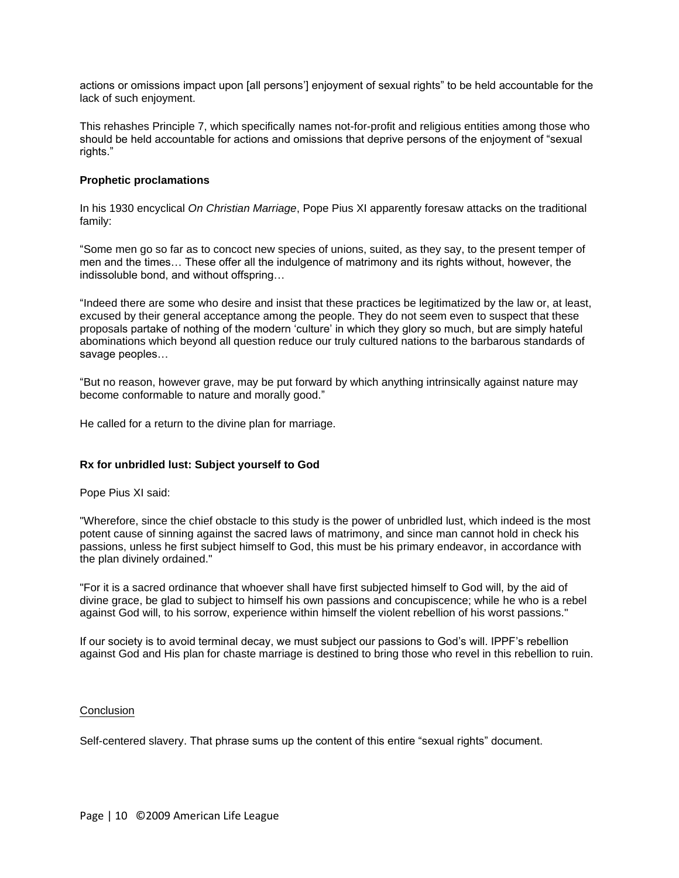actions or omissions impact upon [all persons'] enjoyment of sexual rights" to be held accountable for the lack of such enjoyment.

This rehashes Principle 7, which specifically names not-for-profit and religious entities among those who should be held accountable for actions and omissions that deprive persons of the enjoyment of "sexual rights."

## **Prophetic proclamations**

In his 1930 encyclical *On Christian Marriage*, Pope Pius XI apparently foresaw attacks on the traditional family:

―Some men go so far as to concoct new species of unions, suited, as they say, to the present temper of men and the times… These offer all the indulgence of matrimony and its rights without, however, the indissoluble bond, and without offspring…

"Indeed there are some who desire and insist that these practices be legitimatized by the law or, at least, excused by their general acceptance among the people. They do not seem even to suspect that these proposals partake of nothing of the modern 'culture' in which they glory so much, but are simply hateful abominations which beyond all question reduce our truly cultured nations to the barbarous standards of savage peoples…

―But no reason, however grave, may be put forward by which anything intrinsically against nature may become conformable to nature and morally good."

He called for a return to the divine plan for marriage.

## **Rx for unbridled lust: Subject yourself to God**

Pope Pius XI said:

"Wherefore, since the chief obstacle to this study is the power of unbridled lust, which indeed is the most potent cause of sinning against the sacred laws of matrimony, and since man cannot hold in check his passions, unless he first subject himself to God, this must be his primary endeavor, in accordance with the plan divinely ordained."

"For it is a sacred ordinance that whoever shall have first subjected himself to God will, by the aid of divine grace, be glad to subject to himself his own passions and concupiscence; while he who is a rebel against God will, to his sorrow, experience within himself the violent rebellion of his worst passions."

If our society is to avoid terminal decay, we must subject our passions to God's will. IPPF's rebellion against God and His plan for chaste marriage is destined to bring those who revel in this rebellion to ruin.

## **Conclusion**

Self-centered slavery. That phrase sums up the content of this entire "sexual rights" document.